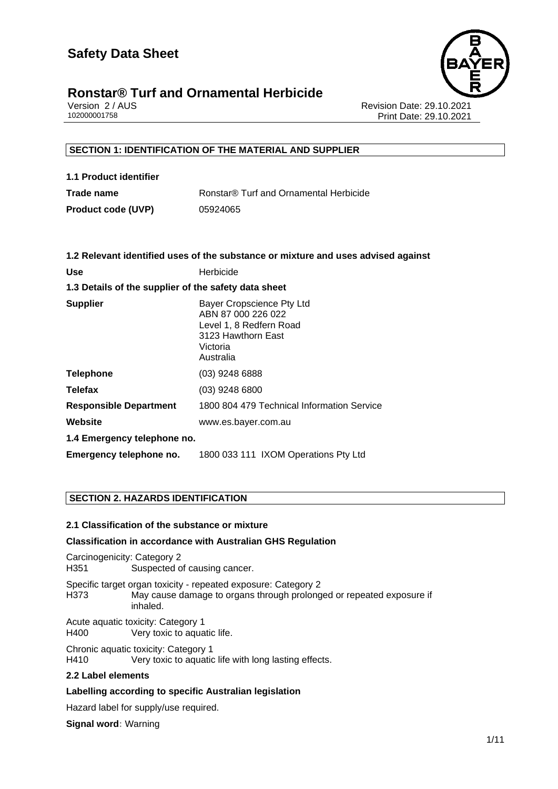

Version 2 / AUS Revision Date: 29.10.2021 Print Date: 29.10.2021

#### **SECTION 1: IDENTIFICATION OF THE MATERIAL AND SUPPLIER**

| 1.1 Product identifier    |                                        |
|---------------------------|----------------------------------------|
| Trade name                | Ronstar® Turf and Ornamental Herbicide |
| <b>Product code (UVP)</b> | 05924065                               |

|                                                      | 1.2 Relevant identified uses of the substance or mixture and uses advised against                                         |  |  |
|------------------------------------------------------|---------------------------------------------------------------------------------------------------------------------------|--|--|
| <b>Use</b>                                           | Herbicide                                                                                                                 |  |  |
| 1.3 Details of the supplier of the safety data sheet |                                                                                                                           |  |  |
| <b>Supplier</b>                                      | Bayer Cropscience Pty Ltd<br>ABN 87 000 226 022<br>Level 1, 8 Redfern Road<br>3123 Hawthorn East<br>Victoria<br>Australia |  |  |
| <b>Telephone</b>                                     | $(03)$ 9248 6888                                                                                                          |  |  |
| <b>Telefax</b>                                       | $(03)$ 9248 6800                                                                                                          |  |  |
| <b>Responsible Department</b>                        | 1800 804 479 Technical Information Service                                                                                |  |  |
| Website                                              | www.es.bayer.com.au                                                                                                       |  |  |
| 1.4 Emergency telephone no.                          |                                                                                                                           |  |  |
| Emergency telephone no.                              | 1800 033 111 IXOM Operations Pty Ltd                                                                                      |  |  |

#### **SECTION 2. HAZARDS IDENTIFICATION**

#### **2.1 Classification of the substance or mixture**

#### **Classification in accordance with Australian GHS Regulation**

Carcinogenicity: Category 2 H351 Suspected of causing cancer. Specific target organ toxicity - repeated exposure: Category 2 H373 May cause damage to organs through prolonged or repeated exposure if inhaled.

Acute aquatic toxicity: Category 1<br>H400 Very toxic to aqua Very toxic to aquatic life.

Chronic aquatic toxicity: Category 1 H410 Very toxic to aquatic life with long lasting effects.

#### **2.2 Label elements**

#### **Labelling according to specific Australian legislation**

Hazard label for supply/use required.

**Signal word:** Warning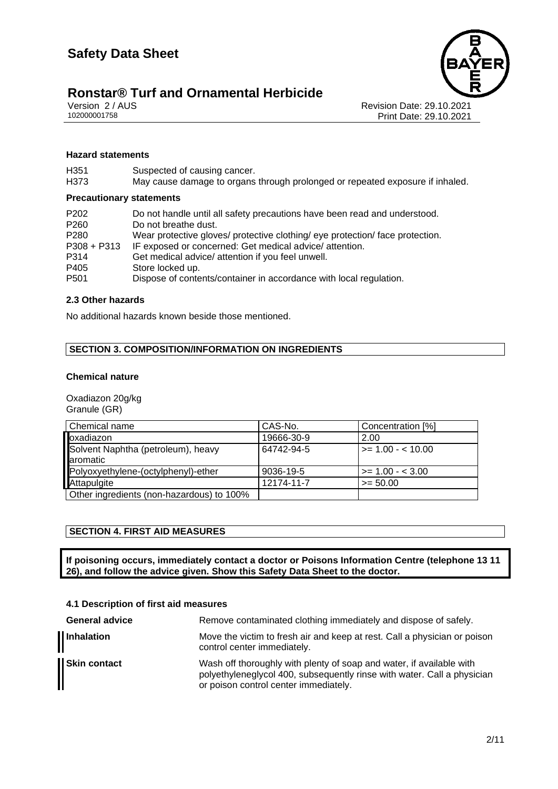# **Ronstar® Turf and Ornamental Herbicide**<br>Version 2/AUS



Version 2 / AUS Revision Date: 29.10.2021 Print Date: 29.10.2021

#### **Hazard statements**

| Suspected of causing cancer.<br>May cause damage to organs through prolonged or repeated exposure if inhaled. |
|---------------------------------------------------------------------------------------------------------------|
| <b>Precautionary statements</b>                                                                               |
| Do not handle until all safety precautions have been read and understood.                                     |
| Do not breathe dust.                                                                                          |
| Wear protective gloves/ protective clothing/ eye protection/ face protection.                                 |
| IF exposed or concerned: Get medical advice/attention.                                                        |
| Get medical advice/ attention if you feel unwell.                                                             |
| Store locked up.                                                                                              |
| Dispose of contents/container in accordance with local regulation.                                            |
|                                                                                                               |

#### **2.3 Other hazards**

No additional hazards known beside those mentioned.

#### **SECTION 3. COMPOSITION/INFORMATION ON INGREDIENTS**

#### **Chemical nature**

Oxadiazon 20g/kg Granule (GR)

| Chemical name                             | CAS-No.    | Concentration [%]      |
|-------------------------------------------|------------|------------------------|
| loxadiazon                                | 19666-30-9 | 2.00                   |
| Solvent Naphtha (petroleum), heavy        | 64742-94-5 | $\ge$ = 1.00 - < 10.00 |
| laromatic                                 |            |                        |
| Polyoxyethylene-(octylphenyl)-ether       | 9036-19-5  | $>= 1.00 - 3.00$       |
| Attapulgite                               | 12174-11-7 | $>= 50.00$             |
| Other ingredients (non-hazardous) to 100% |            |                        |

#### **SECTION 4. FIRST AID MEASURES**

**If poisoning occurs, immediately contact a doctor or Poisons Information Centre (telephone 13 11 26), and follow the advice given. Show this Safety Data Sheet to the doctor.**

#### **4.1 Description of first aid measures**

| <b>General advice</b> | Remove contaminated clothing immediately and dispose of safely.                                                                                                                          |
|-----------------------|------------------------------------------------------------------------------------------------------------------------------------------------------------------------------------------|
| Inhalation            | Move the victim to fresh air and keep at rest. Call a physician or poison<br>control center immediately.                                                                                 |
| <b>Skin contact</b>   | Wash off thoroughly with plenty of soap and water, if available with<br>polyethyleneglycol 400, subsequently rinse with water. Call a physician<br>or poison control center immediately. |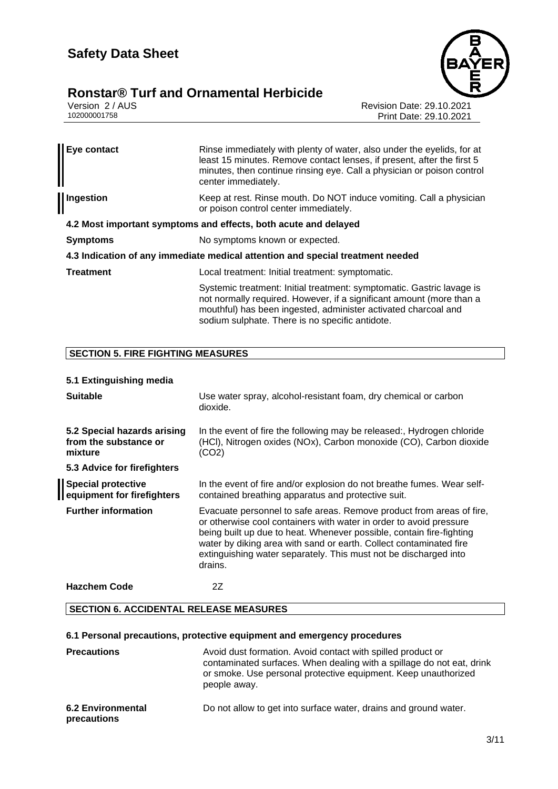# **Ronstar® Turf and Ornamental Herbicide** Version 2/AUS



Version 2 / AUS<br>102000001758 Print Date: 29.10.2021<br>Print Date: 29.10.2021 Print Date: 29.10.2021

| Eye contact                                                                    | Rinse immediately with plenty of water, also under the eyelids, for at<br>least 15 minutes. Remove contact lenses, if present, after the first 5<br>minutes, then continue rinsing eye. Call a physician or poison control<br>center immediately.                  |  |  |
|--------------------------------------------------------------------------------|--------------------------------------------------------------------------------------------------------------------------------------------------------------------------------------------------------------------------------------------------------------------|--|--|
| Ingestion                                                                      | Keep at rest. Rinse mouth. Do NOT induce vomiting. Call a physician<br>or poison control center immediately.                                                                                                                                                       |  |  |
| 4.2 Most important symptoms and effects, both acute and delayed                |                                                                                                                                                                                                                                                                    |  |  |
| <b>Symptoms</b>                                                                | No symptoms known or expected.                                                                                                                                                                                                                                     |  |  |
| 4.3 Indication of any immediate medical attention and special treatment needed |                                                                                                                                                                                                                                                                    |  |  |
| <b>Treatment</b>                                                               | Local treatment: Initial treatment: symptomatic.                                                                                                                                                                                                                   |  |  |
|                                                                                | Systemic treatment: Initial treatment: symptomatic. Gastric lavage is<br>not normally required. However, if a significant amount (more than a<br>mouthful) has been ingested, administer activated charcoal and<br>sodium sulphate. There is no specific antidote. |  |  |

#### **SECTION 5. FIRE FIGHTING MEASURES**

#### **5.1 Extinguishing media**

| <b>Suitable</b>                                                 | Use water spray, alcohol-resistant foam, dry chemical or carbon<br>dioxide.                                                                                                                                                                                                                                                                                             |
|-----------------------------------------------------------------|-------------------------------------------------------------------------------------------------------------------------------------------------------------------------------------------------------------------------------------------------------------------------------------------------------------------------------------------------------------------------|
| 5.2 Special hazards arising<br>from the substance or<br>mixture | In the event of fire the following may be released:, Hydrogen chloride<br>(HCI), Nitrogen oxides (NOx), Carbon monoxide (CO), Carbon dioxide<br>(CO2)                                                                                                                                                                                                                   |
| 5.3 Advice for firefighters                                     |                                                                                                                                                                                                                                                                                                                                                                         |
| <b>Special protective</b><br>equipment for firefighters         | In the event of fire and/or explosion do not breathe fumes. Wear self-<br>contained breathing apparatus and protective suit.                                                                                                                                                                                                                                            |
| <b>Further information</b>                                      | Evacuate personnel to safe areas. Remove product from areas of fire,<br>or otherwise cool containers with water in order to avoid pressure<br>being built up due to heat. Whenever possible, contain fire-fighting<br>water by diking area with sand or earth. Collect contaminated fire<br>extinguishing water separately. This must not be discharged into<br>drains. |
| <b>Hazchem Code</b>                                             | 2Ζ                                                                                                                                                                                                                                                                                                                                                                      |

#### **SECTION 6. ACCIDENTAL RELEASE MEASURES**

#### **6.1 Personal precautions, protective equipment and emergency procedures**

| <b>Precautions</b>                      | Avoid dust formation. Avoid contact with spilled product or<br>contaminated surfaces. When dealing with a spillage do not eat, drink<br>or smoke. Use personal protective equipment. Keep unauthorized<br>people away. |
|-----------------------------------------|------------------------------------------------------------------------------------------------------------------------------------------------------------------------------------------------------------------------|
| <b>6.2 Environmental</b><br>precautions | Do not allow to get into surface water, drains and ground water.                                                                                                                                                       |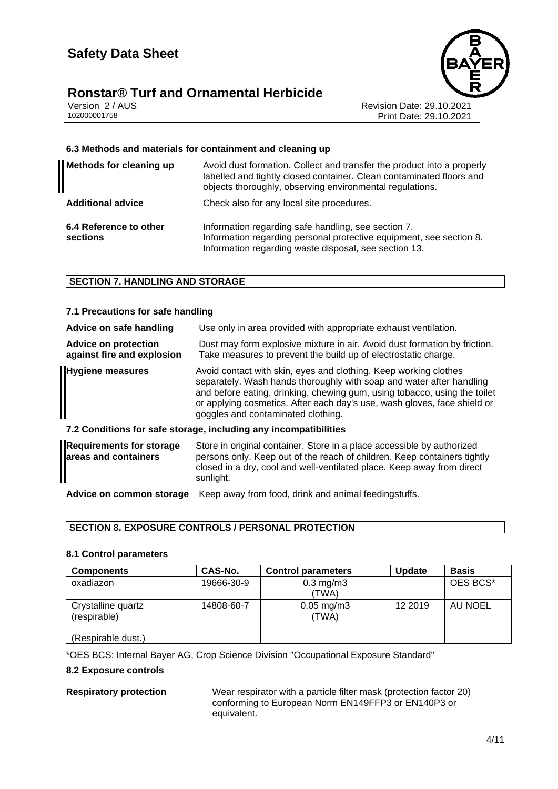# **Ronstar® Turf and Ornamental Herbicide**<br>Version 2/AUS



Version 2 / AUS Revision Date: 29.10.2021 Print Date: 29.10.2021

#### **6.3 Methods and materials for containment and cleaning up**

| <b>Methods for cleaning up</b>     | Avoid dust formation. Collect and transfer the product into a properly<br>labelled and tightly closed container. Clean contaminated floors and<br>objects thoroughly, observing environmental regulations. |
|------------------------------------|------------------------------------------------------------------------------------------------------------------------------------------------------------------------------------------------------------|
| <b>Additional advice</b>           | Check also for any local site procedures.                                                                                                                                                                  |
| 6.4 Reference to other<br>sections | Information regarding safe handling, see section 7.<br>Information regarding personal protective equipment, see section 8.<br>Information regarding waste disposal, see section 13.                        |

#### **SECTION 7. HANDLING AND STORAGE**

#### **7.1 Precautions for safe handling**

| Advice on safe handling                                          | Use only in area provided with appropriate exhaust ventilation.                                                                                                                                                                                                                                                                         |  |
|------------------------------------------------------------------|-----------------------------------------------------------------------------------------------------------------------------------------------------------------------------------------------------------------------------------------------------------------------------------------------------------------------------------------|--|
| <b>Advice on protection</b><br>against fire and explosion        | Dust may form explosive mixture in air. Avoid dust formation by friction.<br>Take measures to prevent the build up of electrostatic charge.                                                                                                                                                                                             |  |
| <b>Hygiene measures</b>                                          | Avoid contact with skin, eyes and clothing. Keep working clothes<br>separately. Wash hands thoroughly with soap and water after handling<br>and before eating, drinking, chewing gum, using tobacco, using the toilet<br>or applying cosmetics. After each day's use, wash gloves, face shield or<br>goggles and contaminated clothing. |  |
| 7.2 Conditions for safe storage, including any incompatibilities |                                                                                                                                                                                                                                                                                                                                         |  |
| <b>Requirements for storage</b><br>areas and containers          | Store in original container. Store in a place accessible by authorized<br>persons only. Keep out of the reach of children. Keep containers tightly                                                                                                                                                                                      |  |

**Advice on common storage** Keep away from food, drink and animal feedingstuffs.

#### **SECTION 8. EXPOSURE CONTROLS / PERSONAL PROTECTION**

sunlight.

#### **8.1 Control parameters**

| <b>Components</b>                  | CAS-No.    | <b>Control parameters</b>   | <b>Update</b> | <b>Basis</b> |
|------------------------------------|------------|-----------------------------|---------------|--------------|
| oxadiazon                          | 19666-30-9 | $0.3 \text{ mg/m}$<br>(TWA) |               | OES BCS*     |
| Crystalline quartz<br>(respirable) | 14808-60-7 | $0.05$ mg/m $3$<br>(TWA)    | 12 2019       | AU NOEL      |
| (Respirable dust.)                 |            |                             |               |              |

\*OES BCS: Internal Bayer AG, Crop Science Division "Occupational Exposure Standard"

#### **8.2 Exposure controls**

**Respiratory protection** Wear respirator with a particle filter mask (protection factor 20) conforming to European Norm EN149FFP3 or EN140P3 or equivalent.

closed in a dry, cool and well-ventilated place. Keep away from direct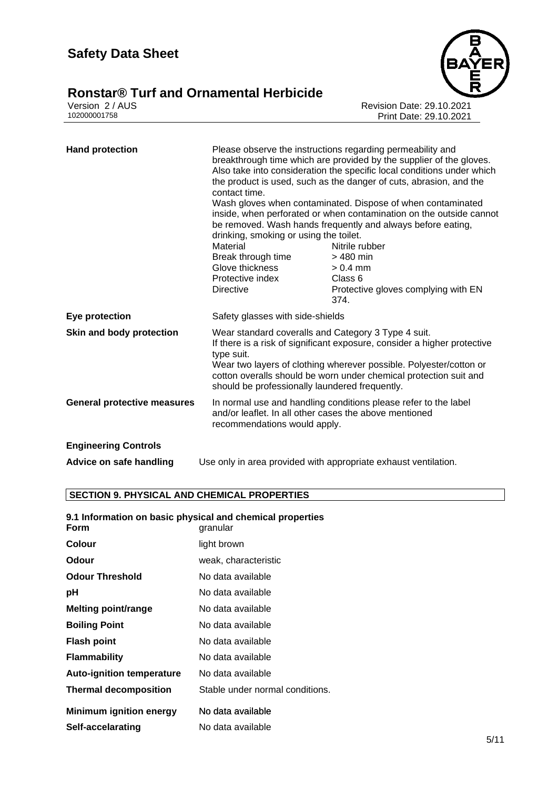# **Ronstar® Turf and Ornamental Herbicide**<br> **102000001758**<br> **502000001758**



Revision Date: 29.10.2021 Print Date: 29.10.2021

| <b>Hand protection</b>             | Please observe the instructions regarding permeability and<br>breakthrough time which are provided by the supplier of the gloves.<br>Also take into consideration the specific local conditions under which<br>the product is used, such as the danger of cuts, abrasion, and the<br>contact time.<br>Wash gloves when contaminated. Dispose of when contaminated<br>inside, when perforated or when contamination on the outside cannot<br>be removed. Wash hands frequently and always before eating,<br>drinking, smoking or using the toilet. |                                                |  |
|------------------------------------|---------------------------------------------------------------------------------------------------------------------------------------------------------------------------------------------------------------------------------------------------------------------------------------------------------------------------------------------------------------------------------------------------------------------------------------------------------------------------------------------------------------------------------------------------|------------------------------------------------|--|
|                                    | Material                                                                                                                                                                                                                                                                                                                                                                                                                                                                                                                                          | Nitrile rubber                                 |  |
|                                    | Break through time                                                                                                                                                                                                                                                                                                                                                                                                                                                                                                                                | $>$ 480 min                                    |  |
|                                    | Glove thickness                                                                                                                                                                                                                                                                                                                                                                                                                                                                                                                                   | $> 0.4$ mm                                     |  |
|                                    | Protective index<br><b>Directive</b>                                                                                                                                                                                                                                                                                                                                                                                                                                                                                                              | Class 6<br>Protective gloves complying with EN |  |
|                                    |                                                                                                                                                                                                                                                                                                                                                                                                                                                                                                                                                   | 374.                                           |  |
| Eye protection                     | Safety glasses with side-shields                                                                                                                                                                                                                                                                                                                                                                                                                                                                                                                  |                                                |  |
| Skin and body protection           | Wear standard coveralls and Category 3 Type 4 suit.<br>If there is a risk of significant exposure, consider a higher protective<br>type suit.<br>Wear two layers of clothing wherever possible. Polyester/cotton or<br>cotton overalls should be worn under chemical protection suit and<br>should be professionally laundered frequently.                                                                                                                                                                                                        |                                                |  |
| <b>General protective measures</b> | In normal use and handling conditions please refer to the label<br>and/or leaflet. In all other cases the above mentioned<br>recommendations would apply.                                                                                                                                                                                                                                                                                                                                                                                         |                                                |  |
| <b>Engineering Controls</b>        |                                                                                                                                                                                                                                                                                                                                                                                                                                                                                                                                                   |                                                |  |
| Advice on safe handling            | Use only in area provided with appropriate exhaust ventilation.                                                                                                                                                                                                                                                                                                                                                                                                                                                                                   |                                                |  |

### **SECTION 9. PHYSICAL AND CHEMICAL PROPERTIES**

#### **9.1 Information on basic physical and chemical properties**

| granular                        |
|---------------------------------|
| light brown                     |
| weak, characteristic            |
| No data available               |
| No data available               |
| No data available               |
| No data available               |
| No data available               |
| No data available               |
| No data available               |
| Stable under normal conditions. |
| No data available               |
| No data available               |
|                                 |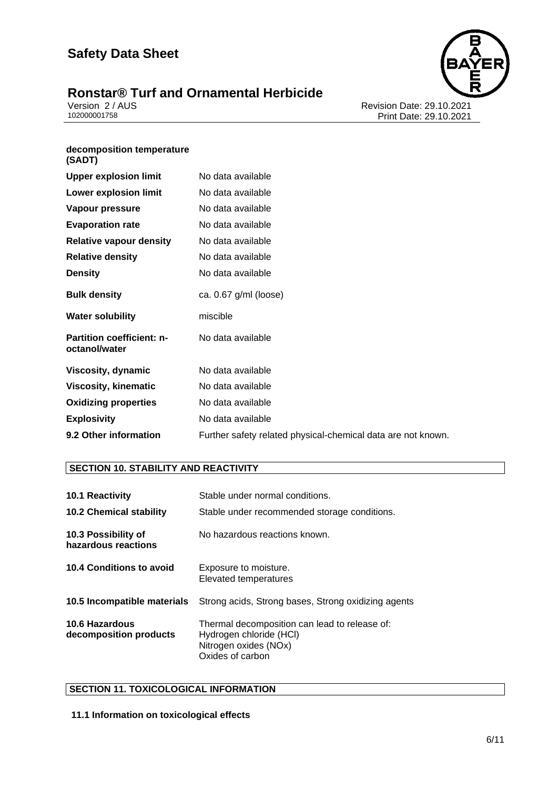# **Ronstar® Turf and Ornamental Herbicide** Version 2/AUS



Version 2 / AUS<br>10200001758 Print Date: 29.10.2021<br>Print Date: 29.10.2021 Print Date: 29.10.2021

#### **decomposition temperature (SADT)**

| <b>Upper explosion limit</b>                      | No data available                                            |
|---------------------------------------------------|--------------------------------------------------------------|
| <b>Lower explosion limit</b>                      | No data available                                            |
| Vapour pressure                                   | No data available                                            |
| <b>Evaporation rate</b>                           | No data available                                            |
| <b>Relative vapour density</b>                    | No data available                                            |
| <b>Relative density</b>                           | No data available                                            |
| <b>Density</b>                                    | No data available                                            |
| <b>Bulk density</b>                               | ca. $0.67$ g/ml (loose)                                      |
| <b>Water solubility</b>                           | miscible                                                     |
| <b>Partition coefficient: n-</b><br>octanol/water | No data available                                            |
| Viscosity, dynamic                                | No data available                                            |
| <b>Viscosity, kinematic</b>                       | No data available                                            |
| <b>Oxidizing properties</b>                       | No data available                                            |
| <b>Explosivity</b>                                | No data available                                            |
| 9.2 Other information                             | Further safety related physical-chemical data are not known. |

#### **SECTION 10. STABILITY AND REACTIVITY**

| <b>10.1 Reactivity</b>                          | Stable under normal conditions.                                                                                       |
|-------------------------------------------------|-----------------------------------------------------------------------------------------------------------------------|
| <b>10.2 Chemical stability</b>                  | Stable under recommended storage conditions.                                                                          |
| 10.3 Possibility of<br>hazardous reactions      | No hazardous reactions known.                                                                                         |
| 10.4 Conditions to avoid                        | Exposure to moisture.<br>Elevated temperatures                                                                        |
| 10.5 Incompatible materials                     | Strong acids, Strong bases, Strong oxidizing agents                                                                   |
| <b>10.6 Hazardous</b><br>decomposition products | Thermal decomposition can lead to release of:<br>Hydrogen chloride (HCI)<br>Nitrogen oxides (NOx)<br>Oxides of carbon |

#### **SECTION 11. TOXICOLOGICAL INFORMATION**

#### **11.1 Information on toxicological effects**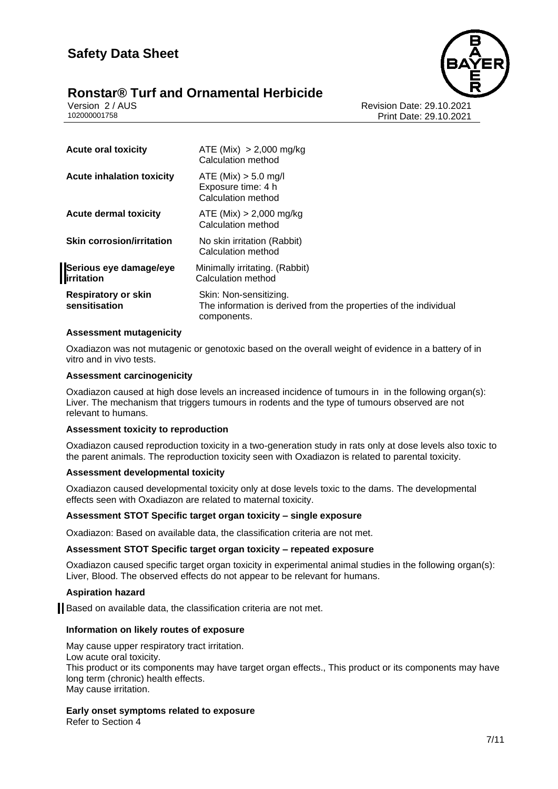

Version 2 / AUS Revision Date: 29.10.2021 Print Date: 29.10.2021

| ATE (Mix) $> 2,000$ mg/kg<br>Calculation method                                                           |
|-----------------------------------------------------------------------------------------------------------|
| ATE (Mix) > 5.0 mg/l<br>Exposure time: 4 h<br>Calculation method                                          |
| ATE (Mix) > 2,000 mg/kg<br>Calculation method                                                             |
| No skin irritation (Rabbit)<br>Calculation method                                                         |
| Minimally irritating. (Rabbit)<br>Calculation method                                                      |
| Skin: Non-sensitizing.<br>The information is derived from the properties of the individual<br>components. |
|                                                                                                           |

#### **Assessment mutagenicity**

Oxadiazon was not mutagenic or genotoxic based on the overall weight of evidence in a battery of in vitro and in vivo tests.

#### **Assessment carcinogenicity**

Oxadiazon caused at high dose levels an increased incidence of tumours in in the following organ(s): Liver. The mechanism that triggers tumours in rodents and the type of tumours observed are not relevant to humans.

#### **Assessment toxicity to reproduction**

Oxadiazon caused reproduction toxicity in a two-generation study in rats only at dose levels also toxic to the parent animals. The reproduction toxicity seen with Oxadiazon is related to parental toxicity.

#### **Assessment developmental toxicity**

Oxadiazon caused developmental toxicity only at dose levels toxic to the dams. The developmental effects seen with Oxadiazon are related to maternal toxicity.

#### **Assessment STOT Specific target organ toxicity – single exposure**

Oxadiazon: Based on available data, the classification criteria are not met.

#### **Assessment STOT Specific target organ toxicity – repeated exposure**

Oxadiazon caused specific target organ toxicity in experimental animal studies in the following organ(s): Liver, Blood. The observed effects do not appear to be relevant for humans.

#### **Aspiration hazard**

Based on available data, the classification criteria are not met.

#### **Information on likely routes of exposure**

May cause upper respiratory tract irritation. Low acute oral toxicity. This product or its components may have target organ effects., This product or its components may have long term (chronic) health effects. May cause irritation.

#### **Early onset symptoms related to exposure**

Refer to Section 4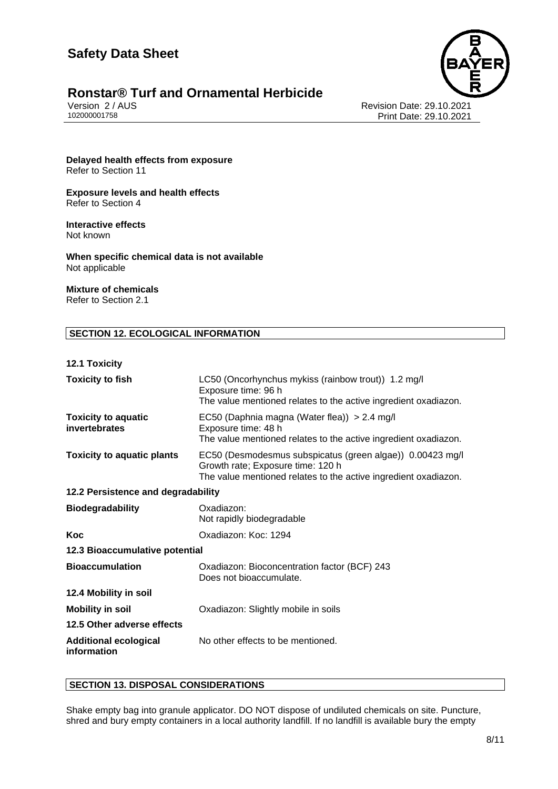

# **Ronstar® Turf and Ornamental Herbicide**<br>Version 2/AUS

Version 2 / AUS Revision Date: 29.10.2021 Print Date: 29.10.2021

**Delayed health effects from exposure** Refer to Section 11

**Exposure levels and health effects** Refer to Section 4

## **Interactive effects**

Not known

**When specific chemical data is not available** Not applicable

### **Mixture of chemicals**

Refer to Section 2.1

#### **SECTION 12. ECOLOGICAL INFORMATION**

#### **12.1 Toxicity**

| <b>Toxicity to fish</b>                     | LC50 (Oncorhynchus mykiss (rainbow trout)) 1.2 mg/l<br>Exposure time: 96 h<br>The value mentioned relates to the active ingredient oxadiazon.                     |  |
|---------------------------------------------|-------------------------------------------------------------------------------------------------------------------------------------------------------------------|--|
| <b>Toxicity to aquatic</b><br>invertebrates | EC50 (Daphnia magna (Water flea)) > 2.4 mg/l<br>Exposure time: 48 h<br>The value mentioned relates to the active ingredient oxadiazon.                            |  |
| <b>Toxicity to aquatic plants</b>           | EC50 (Desmodesmus subspicatus (green algae)) 0.00423 mg/l<br>Growth rate; Exposure time: 120 h<br>The value mentioned relates to the active ingredient oxadiazon. |  |
| 12.2 Persistence and degradability          |                                                                                                                                                                   |  |
| <b>Biodegradability</b>                     | Oxadiazon:<br>Not rapidly biodegradable                                                                                                                           |  |
| Koc                                         | Oxadiazon: Koc: 1294                                                                                                                                              |  |
| 12.3 Bioaccumulative potential              |                                                                                                                                                                   |  |
| <b>Bioaccumulation</b>                      | Oxadiazon: Bioconcentration factor (BCF) 243<br>Does not bioaccumulate.                                                                                           |  |
| 12.4 Mobility in soil                       |                                                                                                                                                                   |  |
| <b>Mobility in soil</b>                     | Oxadiazon: Slightly mobile in soils                                                                                                                               |  |
| 12.5 Other adverse effects                  |                                                                                                                                                                   |  |
| <b>Additional ecological</b><br>information | No other effects to be mentioned.                                                                                                                                 |  |

#### **SECTION 13. DISPOSAL CONSIDERATIONS**

Shake empty bag into granule applicator. DO NOT dispose of undiluted chemicals on site. Puncture, shred and bury empty containers in a local authority landfill. If no landfill is available bury the empty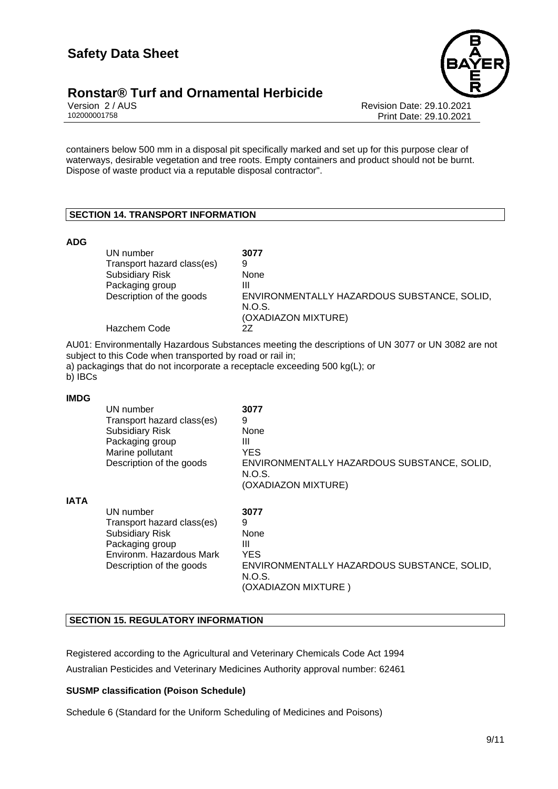

Version 2 / AUS Revision Date: 29.10.2021 Print Date: 29.10.2021

containers below 500 mm in a disposal pit specifically marked and set up for this purpose clear of waterways, desirable vegetation and tree roots. Empty containers and product should not be burnt. Dispose of waste product via a reputable disposal contractor".

#### **SECTION 14. TRANSPORT INFORMATION**

#### **ADG**

| UN number                  | 3077                                                  |
|----------------------------|-------------------------------------------------------|
| Transport hazard class(es) | 9                                                     |
| <b>Subsidiary Risk</b>     | None                                                  |
| Packaging group            | Ш                                                     |
| Description of the goods   | ENVIRONMENTALLY HAZARDOUS SUBSTANCE, SOLID,<br>N.O.S. |
|                            | (OXADIAZON MIXTURE)                                   |
| Hazchem Code               | 27                                                    |

AU01: Environmentally Hazardous Substances meeting the descriptions of UN 3077 or UN 3082 are not subject to this Code when transported by road or rail in;

a) packagings that do not incorporate a receptacle exceeding 500 kg(L); or

b) **IBCs** 

#### **IMDG**

|             | UN number<br>Transport hazard class(es)<br><b>Subsidiary Risk</b><br>Packaging group<br>Marine pollutant<br>Description of the goods         | 3077<br>9<br>None<br>Ш<br><b>YES</b><br>ENVIRONMENTALLY HAZARDOUS SUBSTANCE, SOLID,<br>N.O.S.<br>(OXADIAZON MIXTURE) |
|-------------|----------------------------------------------------------------------------------------------------------------------------------------------|----------------------------------------------------------------------------------------------------------------------|
| <b>IATA</b> | UN number<br>Transport hazard class(es)<br><b>Subsidiary Risk</b><br>Packaging group<br>Environm. Hazardous Mark<br>Description of the goods | 3077<br>9<br>None<br>Ш<br><b>YES</b><br>ENVIRONMENTALLY HAZARDOUS SUBSTANCE, SOLID,<br>N.O.S.<br>(OXADIAZON MIXTURE) |

#### **SECTION 15. REGULATORY INFORMATION**

Registered according to the Agricultural and Veterinary Chemicals Code Act 1994 Australian Pesticides and Veterinary Medicines Authority approval number: 62461

#### **SUSMP classification (Poison Schedule)**

Schedule 6 (Standard for the Uniform Scheduling of Medicines and Poisons)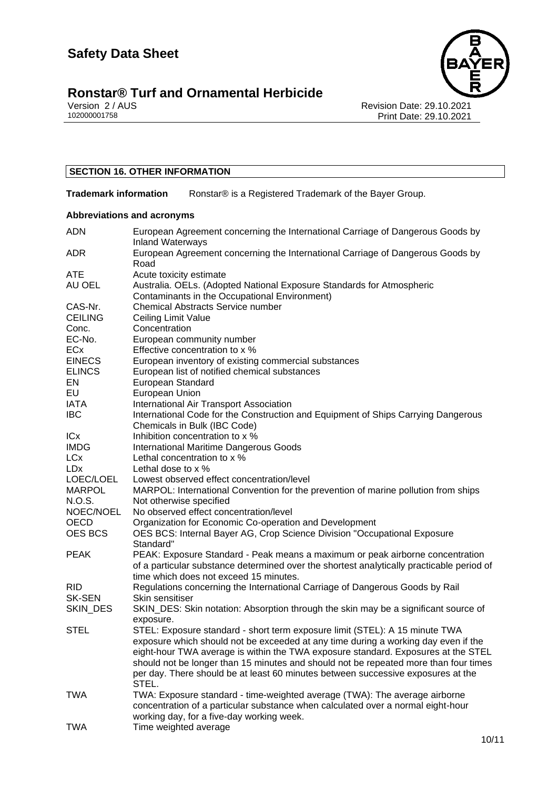

# **Ronstar® Turf and Ornamental Herbicide**<br> **102000001758**<br> **102000001758**

Revision Date: 29.10.2021 Print Date: 29.10.2021

#### **SECTION 16. OTHER INFORMATION**

**Trademark information** Ronstar® is a Registered Trademark of the Bayer Group.

#### **Abbreviations and acronyms**

| <b>ADN</b>           | European Agreement concerning the International Carriage of Dangerous Goods by<br><b>Inland Waterways</b> |
|----------------------|-----------------------------------------------------------------------------------------------------------|
| <b>ADR</b>           | European Agreement concerning the International Carriage of Dangerous Goods by                            |
|                      | Road                                                                                                      |
| <b>ATE</b><br>AU OEL | Acute toxicity estimate                                                                                   |
|                      | Australia. OELs. (Adopted National Exposure Standards for Atmospheric                                     |
|                      | Contaminants in the Occupational Environment)                                                             |
| CAS-Nr.              | <b>Chemical Abstracts Service number</b>                                                                  |
| <b>CEILING</b>       | Ceiling Limit Value                                                                                       |
| Conc.                | Concentration                                                                                             |
| EC-No.               | European community number                                                                                 |
| ECx                  | Effective concentration to x %                                                                            |
| <b>EINECS</b>        | European inventory of existing commercial substances                                                      |
| <b>ELINCS</b>        | European list of notified chemical substances                                                             |
| EN                   | European Standard                                                                                         |
| EU                   | European Union                                                                                            |
| IATA                 | International Air Transport Association                                                                   |
| <b>IBC</b>           | International Code for the Construction and Equipment of Ships Carrying Dangerous                         |
|                      | Chemicals in Bulk (IBC Code)                                                                              |
| <b>ICx</b>           | Inhibition concentration to x %                                                                           |
| <b>IMDG</b>          | <b>International Maritime Dangerous Goods</b>                                                             |
| <b>LCx</b>           | Lethal concentration to x %                                                                               |
| <b>LDx</b>           | Lethal dose to x %                                                                                        |
| LOEC/LOEL            | Lowest observed effect concentration/level                                                                |
| <b>MARPOL</b>        | MARPOL: International Convention for the prevention of marine pollution from ships                        |
| N.O.S.               | Not otherwise specified                                                                                   |
| NOEC/NOEL            | No observed effect concentration/level                                                                    |
| OECD                 | Organization for Economic Co-operation and Development                                                    |
| <b>OES BCS</b>       | OES BCS: Internal Bayer AG, Crop Science Division "Occupational Exposure                                  |
|                      | Standard"                                                                                                 |
| <b>PEAK</b>          | PEAK: Exposure Standard - Peak means a maximum or peak airborne concentration                             |
|                      | of a particular substance determined over the shortest analytically practicable period of                 |
|                      | time which does not exceed 15 minutes.                                                                    |
| <b>RID</b>           | Regulations concerning the International Carriage of Dangerous Goods by Rail                              |
| <b>SK-SEN</b>        | Skin sensitiser                                                                                           |
| SKIN_DES             | SKIN_DES: Skin notation: Absorption through the skin may be a significant source of                       |
|                      | exposure.                                                                                                 |
| <b>STEL</b>          | STEL: Exposure standard - short term exposure limit (STEL): A 15 minute TWA                               |
|                      | exposure which should not be exceeded at any time during a working day even if the                        |
|                      | eight-hour TWA average is within the TWA exposure standard. Exposures at the STEL                         |
|                      | should not be longer than 15 minutes and should not be repeated more than four times                      |
|                      | per day. There should be at least 60 minutes between successive exposures at the                          |
|                      | STEL.                                                                                                     |
| TWA                  | TWA: Exposure standard - time-weighted average (TWA): The average airborne                                |
|                      | concentration of a particular substance when calculated over a normal eight-hour                          |
|                      | working day, for a five-day working week.                                                                 |
| <b>TWA</b>           | Time weighted average                                                                                     |